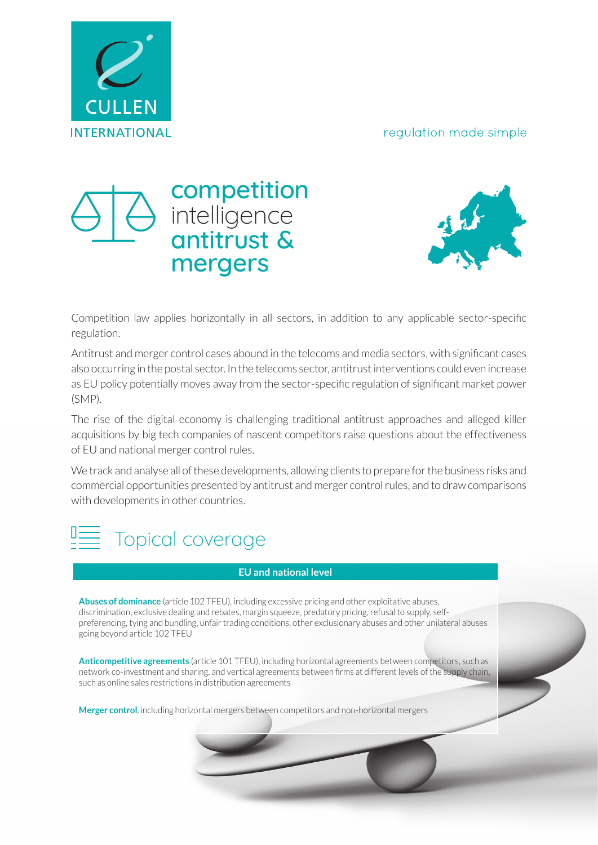#### regulation made simple







Competition law applies horizontally in all sectors, in addition to any applicable sector-specific regulation.

Antitrust and merger control cases abound in the telecoms and media sectors, with significant cases also occurring in the postal sector. In the telecoms sector, antitrust interventions could even increase as EU policy potentially moves away from the sector-specific regulation of significant market power (SMP).

The rise of the digital economy is challenging traditional antitrust approaches and alleged killer acquisitions by big tech companies of nascent competitors raise questions about the effectiveness of EU and national merger control rules.

We track and analyse all of these developments, allowing clients to prepare for the business risks and commercial opportunities presented by antitrust and merger control rules, and to draw comparisons with developments in other countries.



#### **EU and national level**

**Abuses of dominance** (article 102 TFEU), including excessive pricing and other exploitative abuses, discrimination, exclusive dealing and rebates, margin squeeze, predatory pricing, refusal to supply, selfpreferencing, tying and bundling, unfair trading conditions, other exclusionary abuses and other unilateral abuses going beyond article 102 TFEU

**Anticompetitive agreements** (article 101 TFEU), including horizontal agreements between competitors, such as network co-investment and sharing, and vertical agreements between firms at different levels of the supply chain, such as online sales restrictions in distribution agreements

**Merger control**, including horizontal mergers between competitors and non-horizontal mergers